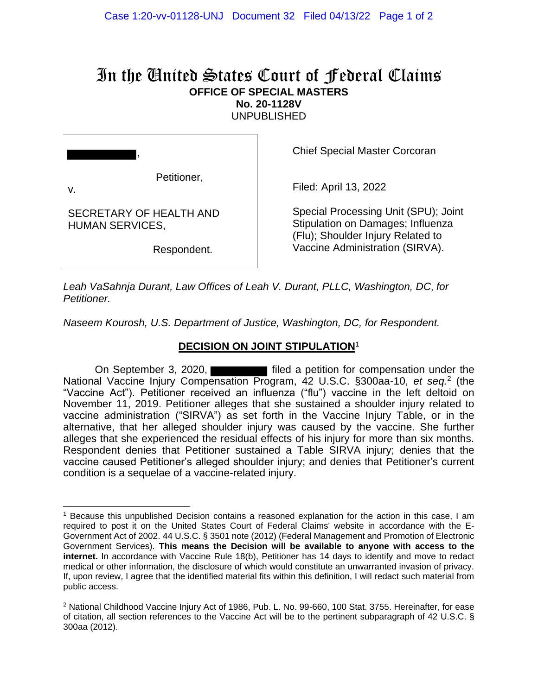## In the United States Court of Federal Claims **OFFICE OF SPECIAL MASTERS No. 20-1128V**

UNPUBLISHED

| V.                                         | Petitioner, |
|--------------------------------------------|-------------|
| SECRETARY OF HEALTH AND<br>HUMAN SERVICES, |             |

Respondent.

Chief Special Master Corcoran

Filed: April 13, 2022

Special Processing Unit (SPU); Joint Stipulation on Damages; Influenza (Flu); Shoulder Injury Related to Vaccine Administration (SIRVA).

*Leah VaSahnja Durant, Law Offices of Leah V. Durant, PLLC, Washington, DC, for Petitioner.*

*Naseem Kourosh, U.S. Department of Justice, Washington, DC, for Respondent.*

## **DECISION ON JOINT STIPULATION**<sup>1</sup>

On September 3, 2020, National Vaccine Injury Compensation Program, 42 U.S.C. §300aa-10, *et seq.*<sup>2</sup> (the "Vaccine Act"). Petitioner received an influenza ("flu") vaccine in the left deltoid on November 11, 2019. Petitioner alleges that she sustained a shoulder injury related to vaccine administration ("SIRVA") as set forth in the Vaccine Injury Table, or in the alternative, that her alleged shoulder injury was caused by the vaccine. She further alleges that she experienced the residual effects of his injury for more than six months. Respondent denies that Petitioner sustained a Table SIRVA injury; denies that the vaccine caused Petitioner's alleged shoulder injury; and denies that Petitioner's current condition is a sequelae of a vaccine-related injury.

<sup>1</sup> Because this unpublished Decision contains a reasoned explanation for the action in this case, I am required to post it on the United States Court of Federal Claims' website in accordance with the E-Government Act of 2002. 44 U.S.C. § 3501 note (2012) (Federal Management and Promotion of Electronic Government Services). **This means the Decision will be available to anyone with access to the internet.** In accordance with Vaccine Rule 18(b), Petitioner has 14 days to identify and move to redact medical or other information, the disclosure of which would constitute an unwarranted invasion of privacy. If, upon review, I agree that the identified material fits within this definition, I will redact such material from public access.

<sup>2</sup> National Childhood Vaccine Injury Act of 1986, Pub. L. No. 99-660, 100 Stat. 3755. Hereinafter, for ease of citation, all section references to the Vaccine Act will be to the pertinent subparagraph of 42 U.S.C. § 300aa (2012).